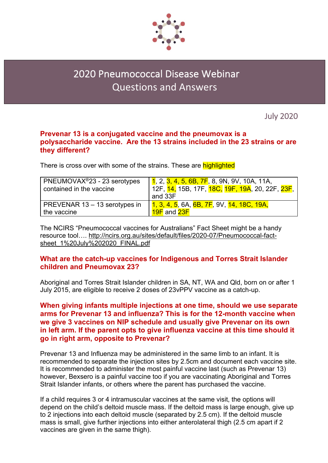

# 2020 Pneumococcal Disease Webinar Questions and Answers

July 2020

## **Prevenar 13 is a conjugated vaccine and the pneumovax is a polysaccharide vaccine. Are the 13 strains included in the 23 strains or are they different?**

There is cross over with some of the strains. These are **highlighted** 

| PNEUMOVAX <sup>®</sup> 23 - 23 serotypes | <mark>1</mark> , 2, <mark>3, 4, 5, 6B, 7F</mark> , 8, 9N, 9V, 10A, 11A,                  |
|------------------------------------------|------------------------------------------------------------------------------------------|
| contained in the vaccine                 | 12F, <mark>14,</mark> 15B, 17F, <mark>18C, 19F, 19A</mark> , 20, 22F, <mark>23F</mark> , |
|                                          | and 33F                                                                                  |
| PREVENAR 13 - 13 serotypes in            | 1, 3, 4, 5, 6A, 6B, 7F, 9V, 14, 18C, 19A,                                                |
| the vaccine                              | <b>19F</b> and <b>23F</b>                                                                |

The NCIRS "Pneumococcal vaccines for Australians" Fact Sheet might be a handy resource tool…. http://ncirs.org.au/sites/default/files/2020-07/Pneumococcal-factsheet 1%20July%202020\_FINAL.pdf

# **What are the catch-up vaccines for Indigenous and Torres Strait Islander children and Pneumovax 23?**

Aboriginal and Torres Strait Islander children in SA, NT, WA and Qld, born on or after 1 July 2015, are eligible to receive 2 doses of 23vPPV vaccine as a catch-up.

# **When giving infants multiple injections at one time, should we use separate arms for Prevenar 13 and influenza? This is for the 12-month vaccine when we give 3 vaccines on NIP schedule and usually give Prevenar on its own in left arm. If the parent opts to give influenza vaccine at this time should it go in right arm, opposite to Prevenar?**

Prevenar 13 and Influenza may be administered in the same limb to an infant. It is recommended to separate the injection sites by 2.5cm and document each vaccine site. It is recommended to administer the most painful vaccine last (such as Prevenar 13) however, Bexsero is a painful vaccine too if you are vaccinating Aboriginal and Torres Strait Islander infants, or others where the parent has purchased the vaccine.

If a child requires 3 or 4 intramuscular vaccines at the same visit, the options will depend on the child's deltoid muscle mass. If the deltoid mass is large enough, give up to 2 injections into each deltoid muscle (separated by 2.5 cm). If the deltoid muscle mass is small, give further injections into either anterolateral thigh (2.5 cm apart if 2 vaccines are given in the same thigh).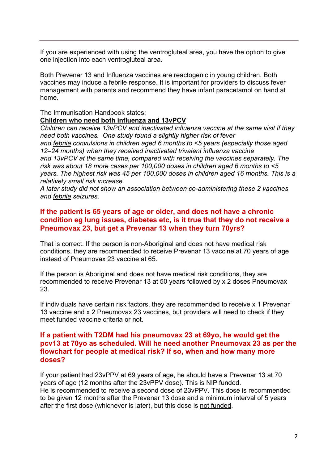If you are experienced with using the ventrogluteal area, you have the option to give one injection into each ventrogluteal area.

Both Prevenar 13 and Influenza vaccines are reactogenic in young children. Both vaccines may induce a febrile response. It is important for providers to discuss fever management with parents and recommend they have infant paracetamol on hand at home.

#### The Immunisation Handbook states: **Children who need both influenza and 13vPCV**

*Children can receive 13vPCV and inactivated influenza vaccine at the same visit if they need both vaccines. One study found a slightly higher risk of fever and febrile convulsions in children aged 6 months to <5 years (especially those aged 12–24 months) when they received inactivated trivalent influenza vaccine and 13vPCV at the same time, compared with receiving the vaccines separately. The risk was about 18 more cases per 100,000 doses in children aged 6 months to <5 years. The highest risk was 45 per 100,000 doses in children aged 16 months. This is a relatively small risk increase.*

*A later study did not show an association between co-administering these 2 vaccines and febrile seizures.*

# **If the patient is 65 years of age or older, and does not have a chronic condition eg lung issues, diabetes etc, is it true that they do not receive a Pneumovax 23, but get a Prevenar 13 when they turn 70yrs?**

That is correct. If the person is non-Aboriginal and does not have medical risk conditions, they are recommended to receive Prevenar 13 vaccine at 70 years of age instead of Pneumovax 23 vaccine at 65.

If the person is Aboriginal and does not have medical risk conditions, they are recommended to receive Prevenar 13 at 50 years followed by x 2 doses Pneumovax 23.

If individuals have certain risk factors, they are recommended to receive x 1 Prevenar 13 vaccine and x 2 Pneumovax 23 vaccines, but providers will need to check if they meet funded vaccine criteria or not.

## **If a patient with T2DM had his pneumovax 23 at 69yo, he would get the pcv13 at 70yo as scheduled. Will he need another Pneumovax 23 as per the flowchart for people at medical risk? If so, when and how many more doses?**

If your patient had 23vPPV at 69 years of age, he should have a Prevenar 13 at 70 years of age (12 months after the 23vPPV dose). This is NIP funded. He is recommended to receive a second dose of 23vPPV. This dose is recommended to be given 12 months after the Prevenar 13 dose and a minimum interval of 5 years after the first dose (whichever is later), but this dose is not funded.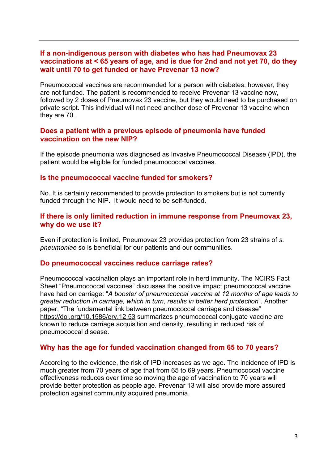#### **If a non-indigenous person with diabetes who has had Pneumovax 23 vaccinations at < 65 years of age, and is due for 2nd and not yet 70, do they wait until 70 to get funded or have Prevenar 13 now?**

Pneumococcal vaccines are recommended for a person with diabetes; however, they are not funded. The patient is recommended to receive Prevenar 13 vaccine now, followed by 2 doses of Pneumovax 23 vaccine, but they would need to be purchased on private script. This individual will not need another dose of Prevenar 13 vaccine when they are 70.

#### **Does a patient with a previous episode of pneumonia have funded vaccination on the new NIP?**

If the episode pneumonia was diagnosed as Invasive Pneumococcal Disease (IPD), the patient would be eligible for funded pneumococcal vaccines.

#### **Is the pneumococcal vaccine funded for smokers?**

No. It is certainly recommended to provide protection to smokers but is not currently funded through the NIP. It would need to be self-funded.

#### **If there is only limited reduction in immune response from Pneumovax 23, why do we use it?**

Even if protection is limited, Pneumovax 23 provides protection from 23 strains of *s. pneumoniae* so is beneficial for our patients and our communities.

#### **Do pneumococcal vaccines reduce carriage rates?**

Pneumococcal vaccination plays an important role in herd immunity. The NCIRS Fact Sheet "Pneumococcal vaccines" discusses the positive impact pneumococcal vaccine have had on carriage: "*A booster of pneumococcal vaccine at 12 months of age leads to greater reduction in carriage, which in turn, results in better herd protection*". Another paper, "The fundamental link between pneumococcal carriage and disease" https://doi.org/10.1586/erv.12.53 summarizes pneumococcal conjugate vaccine are known to reduce carriage acquisition and density, resulting in reduced risk of pneumococcal disease.

## **Why has the age for funded vaccination changed from 65 to 70 years?**

According to the evidence, the risk of IPD increases as we age. The incidence of IPD is much greater from 70 years of age that from 65 to 69 years. Pneumococcal vaccine effectiveness reduces over time so moving the age of vaccination to 70 years will provide better protection as people age. Prevenar 13 will also provide more assured protection against community acquired pneumonia.